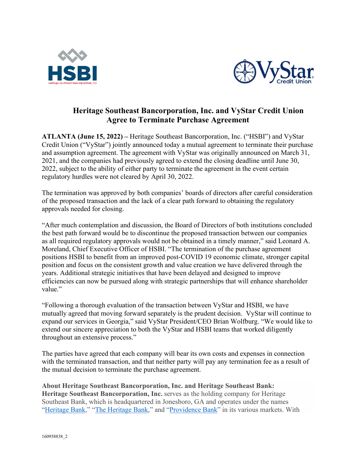



## **Heritage Southeast Bancorporation, Inc. and VyStar Credit Union Agree to Terminate Purchase Agreement**

 **ATLANTA (June 15, 2022) –** Heritage Southeast Bancorporation, Inc. ("HSBI") and VyStar regulatory hurdles were not cleared by April 30, 2022. Credit Union ("VyStar") jointly announced today a mutual agreement to terminate their purchase and assumption agreement. The agreement with VyStar was originally announced on March 31, 2021, and the companies had previously agreed to extend the closing deadline until June 30, 2022, subject to the ability of either party to terminate the agreement in the event certain

 The termination was approved by both companies' boards of directors after careful consideration of the proposed transaction and the lack of a clear path forward to obtaining the regulatory approvals needed for closing.

 the best path forward would be to discontinue the proposed transaction between our companies "After much contemplation and discussion, the Board of Directors of both institutions concluded as all required regulatory approvals would not be obtained in a timely manner," said Leonard A. Moreland, Chief Executive Officer of HSBI. "The termination of the purchase agreement positions HSBI to benefit from an improved post-COVID 19 economic climate, stronger capital position and focus on the consistent growth and value creation we have delivered through the years. Additional strategic initiatives that have been delayed and designed to improve efficiencies can now be pursued along with strategic partnerships that will enhance shareholder value."

 mutually agreed that moving forward separately is the prudent decision. VyStar will continue to throughout an extensive process." "Following a thorough evaluation of the transaction between VyStar and HSBI, we have expand our services in Georgia," said VyStar President/CEO Brian Wolfburg. "We would like to extend our sincere appreciation to both the VyStar and HSBI teams that worked diligently

 with the terminated transaction, and that neither party will pay any termination fee as a result of The parties have agreed that each company will bear its own costs and expenses in connection the mutual decision to terminate the purchase agreement.

**About Heritage Southeast Bancorporation, Inc. and Heritage Southeast Bank: Heritage Southeast Bancorporation, Inc.** serves as the holding company for Heritage Southeast Bank, which is headquartered in Jonesboro, GA and operates under the names ["Heritage Bank,](https://www.heritagebank.com/)" ["The Heritage Bank,](https://www.the-heritage-bank.com/)" and ["Providence Bank"](https://www.providencebankga.com/) in its various markets. With